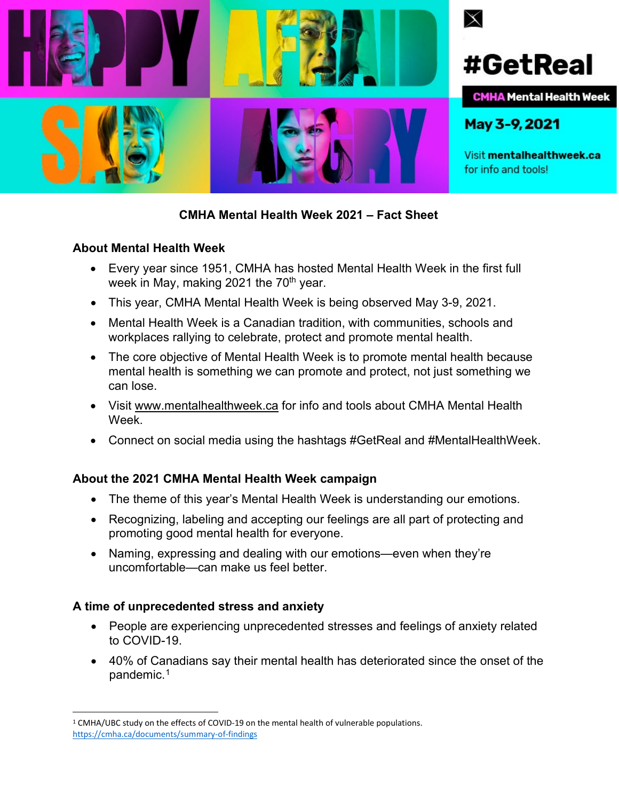

# **CMHA Mental Health Week 2021 – Fact Sheet**

#### **About Mental Health Week**

- Every year since 1951, CMHA has hosted Mental Health Week in the first full week in May, making 2021 the  $70<sup>th</sup>$  year.
- This year, CMHA Mental Health Week is being observed May 3-9, 2021.
- Mental Health Week is a Canadian tradition, with communities, schools and workplaces rallying to celebrate, protect and promote mental health.
- The core objective of Mental Health Week is to promote mental health because mental health is something we can promote and protect, not just something we can lose.
- Visit [www.mentalhealthweek.ca](http://www.mentalhealthweek.ca/) for info and tools about CMHA Mental Health Week.
- Connect on social media using the hashtags #GetReal and #MentalHealthWeek.

# **About the 2021 CMHA Mental Health Week campaign**

- The theme of this year's Mental Health Week is understanding our emotions.
- Recognizing, labeling and accepting our feelings are all part of protecting and promoting good mental health for everyone.
- Naming, expressing and dealing with our emotions—even when they're uncomfortable—can make us feel better.

# **A time of unprecedented stress and anxiety**

- People are experiencing unprecedented stresses and feelings of anxiety related to COVID-19.
- 40% of Canadians say their mental health has deteriorated since the onset of the pandemic.<sup>[1](#page-0-0)</sup>

<span id="page-0-0"></span><sup>1</sup> CMHA/UBC study on the effects of COVID-19 on the mental health of vulnerable populations. <https://cmha.ca/documents/summary-of-findings>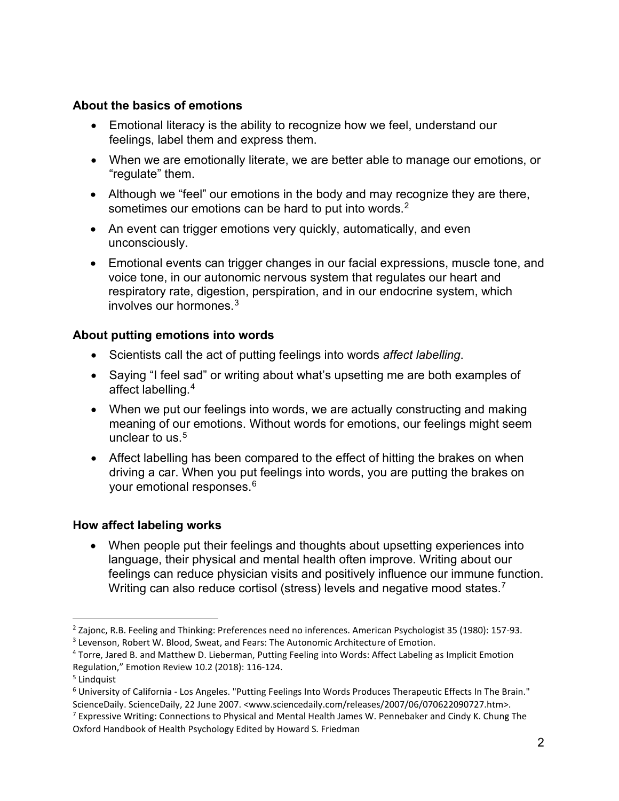# **About the basics of emotions**

- Emotional literacy is the ability to recognize how we feel, understand our feelings, label them and express them.
- When we are emotionally literate, we are better able to manage our emotions, or "regulate" them.
- Although we "feel" our emotions in the body and may recognize they are there, sometimes our emotions can be hard to put into words.<sup>[2](#page-1-0)</sup>
- An event can trigger emotions very quickly, automatically, and even unconsciously.
- Emotional events can trigger changes in our facial expressions, muscle tone, and voice tone, in our autonomic nervous system that regulates our heart and respiratory rate, digestion, perspiration, and in our endocrine system, which involves our hormones.[3](#page-1-1)

# **About putting emotions into words**

- Scientists call the act of putting feelings into words *affect labelling*.
- Saying "I feel sad" or writing about what's upsetting me are both examples of affect labelling.[4](#page-1-2)
- When we put our feelings into words, we are actually constructing and making meaning of our emotions. Without words for emotions, our feelings might seem unclear to us. $5$
- Affect labelling has been compared to the effect of hitting the brakes on when driving a car. When you put feelings into words, you are putting the brakes on your emotional responses.[6](#page-1-4)

# **How affect labeling works**

• When people put their feelings and thoughts about upsetting experiences into language, their physical and mental health often improve. Writing about our feelings can reduce physician visits and positively influence our immune function. Writing can also reduce cortisol (stress) levels and negative mood states.<sup>[7](#page-1-5)</sup>

<span id="page-1-1"></span><span id="page-1-0"></span><sup>&</sup>lt;sup>2</sup> Zaionc, R.B. Feeling and Thinking: Preferences need no inferences. American Psychologist 35 (1980): 157-93. <sup>3</sup> Levenson, Robert W. Blood, Sweat, and Fears: The Autonomic Architecture of Emotion.

<span id="page-1-2"></span><sup>4</sup> Torre, Jared B. and Matthew D. Lieberman, Putting Feeling into Words: Affect Labeling as Implicit Emotion Regulation," Emotion Review 10.2 (2018): 116-124.

<span id="page-1-3"></span><sup>5</sup> Lindquist

<span id="page-1-4"></span><sup>6</sup> University of California - Los Angeles. "Putting Feelings Into Words Produces Therapeutic Effects In The Brain." ScienceDaily. ScienceDaily, 22 June 2007. <www.sciencedaily.com/releases/2007/06/070622090727.htm>.

<span id="page-1-5"></span><sup>&</sup>lt;sup>7</sup> Expressive Writing: Connections to Physical and Mental Health James W. Pennebaker and Cindy K. Chung The Oxford Handbook of Health Psychology Edited by Howard S. Friedman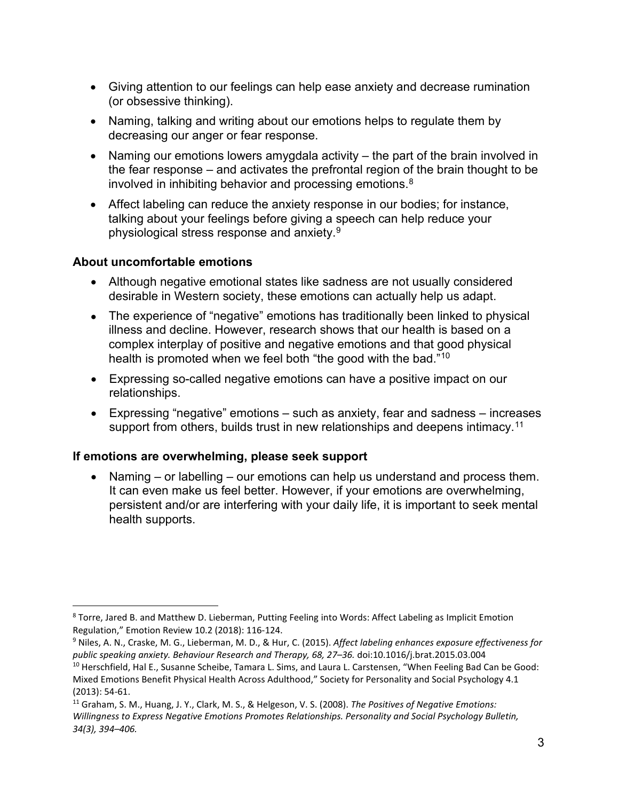- Giving attention to our feelings can help ease anxiety and decrease rumination (or obsessive thinking).
- Naming, talking and writing about our emotions helps to regulate them by decreasing our anger or fear response.
- Naming our emotions lowers amygdala activity the part of the brain involved in the fear response – and activates the prefrontal region of the brain thought to be involved in inhibiting behavior and processing emotions.<sup>[8](#page-2-0)</sup>
- Affect labeling can reduce the anxiety response in our bodies; for instance, talking about your feelings before giving a speech can help reduce your physiological stress response and anxiety.[9](#page-2-1)

# **About uncomfortable emotions**

- Although negative emotional states like sadness are not usually considered desirable in Western society, these emotions can actually help us adapt.
- The experience of "negative" emotions has traditionally been linked to physical illness and decline. However, research shows that our health is based on a complex interplay of positive and negative emotions and that good physical health is promoted when we feel both "the good with the bad."[10](#page-2-2)
- Expressing so-called negative emotions can have a positive impact on our relationships.
- Expressing "negative" emotions such as anxiety, fear and sadness increases support from others, builds trust in new relationships and deepens intimacy.<sup>[11](#page-2-3)</sup>

# **If emotions are overwhelming, please seek support**

• Naming – or labelling – our emotions can help us understand and process them. It can even make us feel better. However, if your emotions are overwhelming, persistent and/or are interfering with your daily life, it is important to seek mental health supports.

<span id="page-2-0"></span><sup>8</sup> Torre, Jared B. and Matthew D. Lieberman, Putting Feeling into Words: Affect Labeling as Implicit Emotion Regulation," Emotion Review 10.2 (2018): 116-124.

<span id="page-2-1"></span><sup>9</sup> Niles, A. N., Craske, M. G., Lieberman, M. D., & Hur, C. (2015). *Affect labeling enhances exposure effectiveness for public speaking anxiety. Behaviour Research and Therapy, 68, 27–36.* doi:10.1016/j.brat.2015.03.004

<span id="page-2-2"></span><sup>&</sup>lt;sup>10</sup> Herschfield, Hal E., Susanne Scheibe, Tamara L. Sims, and Laura L. Carstensen, "When Feeling Bad Can be Good: Mixed Emotions Benefit Physical Health Across Adulthood," Society for Personality and Social Psychology 4.1 (2013): 54-61.

<span id="page-2-3"></span><sup>11</sup> Graham, S. M., Huang, J. Y., Clark, M. S., & Helgeson, V. S. (2008). *The Positives of Negative Emotions: Willingness to Express Negative Emotions Promotes Relationships. Personality and Social Psychology Bulletin, 34(3), 394–406.*